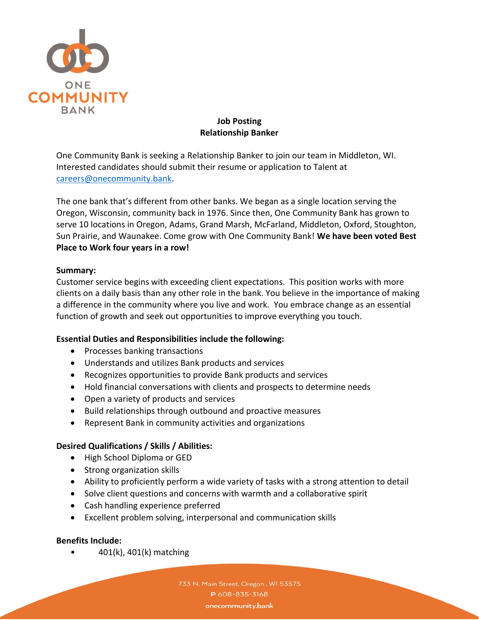

# **Job Posting Relationship Banker**

One Community Bank is seeking a Relationship Banker to join our team in Middleton, WI. Interested candidates should submit their resume or application to Talent at [careers@onecommunity.bank.](mailto:careers@onecommunity.bank)

The one bank that's different from other banks. We began as a single location serving the Oregon, Wisconsin, community back in 1976. Since then, One Community Bank has grown to serve 10 locations in Oregon, Adams, Grand Marsh, McFarland, Middleton, Oxford, Stoughton, Sun Prairie, and Waunakee. Come grow with One Community Bank! **We have been voted Best Place to Work four years in a row!**

### **Summary:**

Customer service begins with exceeding client expectations. This position works with more clients on a daily basis than any other role in the bank. You believe in the importance of making a difference in the community where you live and work. You embrace change as an essential function of growth and seek out opportunities to improve everything you touch.

# **Essential Duties and Responsibilities include the following:**

- Processes banking transactions
- Understands and utilizes Bank products and services
- Recognizes opportunities to provide Bank products and services
- Hold financial conversations with clients and prospects to determine needs
- Open a variety of products and services
- Build relationships through outbound and proactive measures
- Represent Bank in community activities and organizations

### **Desired Qualifications / Skills / Abilities:**

- High School Diploma or GED
- Strong organization skills
- Ability to proficiently perform a wide variety of tasks with a strong attention to detail
- Solve client questions and concerns with warmth and a collaborative spirit
- Cash handling experience preferred
- Excellent problem solving, interpersonal and communication skills

# **Benefits Include:**

 $\bullet$  401(k), 401(k) matching

733 N. Main Street, Oregon, WI 53575 P 608-835-3168 onecommunity.bank